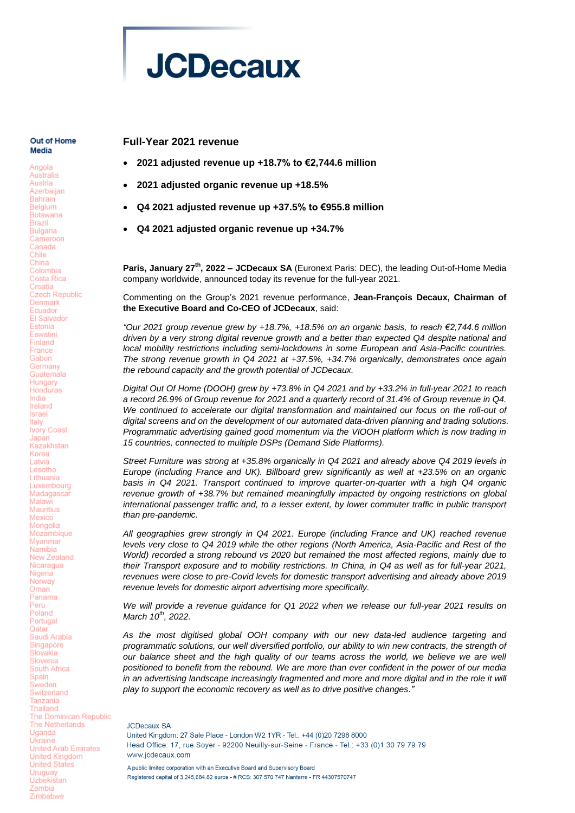

#### Out of Home Media

Angola Australia Austria Azerbaijan **Bahrain** Belgium **Botswana Brazil Bulgaria** Cameroon Canada Chile China Colombia Costa Rica Croatia Czech Republic Denmark Equador **FI Salvador** Estonia Eswatini Finland France Gabon Germany Guatemala Hungary Honduras India Ireland Israel Italy Ivory Coast Japan Kazakhstan Korea Latvia Lesotho Lithuania Luxembourg Madagascar Malawi Mauritius Mexico Mongolia Mozambique Myanmar Namihia New Zealand Nicaragua Nigeria Norway Oman Panama Peru Poland Portugal Qatar Saudi Arabia Singapore Slovakia Slovenia South Africa Spain Sweden Switzerland Tanzania Thailand The Dominican Republic The Netherlands Uganda Ukraine **United Arab Emirates United Kingdom** United States Uruguay Uzbekistan Zambia Zimbabwe

# **Full-Year 2021 revenue**

- **2021 adjusted revenue up +18.7% to €2,744.6 million**
- **2021 adjusted organic revenue up +18.5%**
- **Q4 2021 adjusted revenue up +37.5% to €955.8 million**
- **Q4 2021 adjusted organic revenue up +34.7%**

**Paris, January 27th, 2022 – JCDecaux SA** (Euronext Paris: DEC), the leading Out-of-Home Media company worldwide, announced today its revenue for the full-year 2021.

Commenting on the Group's 2021 revenue performance, **Jean-François Decaux, Chairman of the Executive Board and Co-CEO of JCDecaux**, said:

*"Our 2021 group revenue grew by +18.7%, +18.5% on an organic basis, to reach €2,744.6 million driven by a very strong digital revenue growth and a better than expected Q4 despite national and local mobility restrictions including semi-lockdowns in some European and Asia-Pacific countries. The strong revenue growth in Q4 2021 at +37.5%, +34.7% organically, demonstrates once again the rebound capacity and the growth potential of JCDecaux.*

*Digital Out Of Home (DOOH) grew by +73.8% in Q4 2021 and by +33.2% in full-year 2021 to reach a record 26.9% of Group revenue for 2021 and a quarterly record of 31.4% of Group revenue in Q4. We continued to accelerate our digital transformation and maintained our focus on the roll-out of digital screens and on the development of our automated data-driven planning and trading solutions. Programmatic advertising gained good momentum via the VIOOH platform which is now trading in 15 countries, connected to multiple DSPs (Demand Side Platforms).* 

*Street Furniture was strong at +35.8% organically in Q4 2021 and already above Q4 2019 levels in Europe (including France and UK). Billboard grew significantly as well at +23.5% on an organic basis in Q4 2021. Transport continued to improve quarter-on-quarter with a high Q4 organic revenue growth of +38.7% but remained meaningfully impacted by ongoing restrictions on global international passenger traffic and, to a lesser extent, by lower commuter traffic in public transport than pre-pandemic.*

*All geographies grew strongly in Q4 2021. Europe (including France and UK) reached revenue levels very close to Q4 2019 while the other regions (North America, Asia-Pacific and Rest of the World) recorded a strong rebound vs 2020 but remained the most affected regions, mainly due to their Transport exposure and to mobility restrictions. In China, in Q4 as well as for full-year 2021, revenues were close to pre-Covid levels for domestic transport advertising and already above 2019 revenue levels for domestic airport advertising more specifically.*

*We will provide a revenue guidance for Q1 2022 when we release our full-year 2021 results on March 10th, 2022.*

*As the most digitised global OOH company with our new data-led audience targeting and programmatic solutions, our well diversified portfolio, our ability to win new contracts, the strength of our balance sheet and the high quality of our teams across the world, we believe we are well positioned to benefit from the rebound. We are more than ever confident in the power of our media in an advertising landscape increasingly fragmented and more and more digital and in the role it will play to support the economic recovery as well as to drive positive changes."*

**JCDecaux SA** United Kingdom: 27 Sale Place - London W2 1YR - Tel.: +44 (0)20 7298 8000 Head Office: 17, rue Soyer - 92200 Neuilly-sur-Seine - France - Tel.: +33 (0)1 30 79 79 79 www.jcdecaux.com A public limited corporation with an Executive Board and Supervisory Board Registered capital of 3.245.684.82 euros - # RCS: 307 570 747 Nanterre - FR 44307570747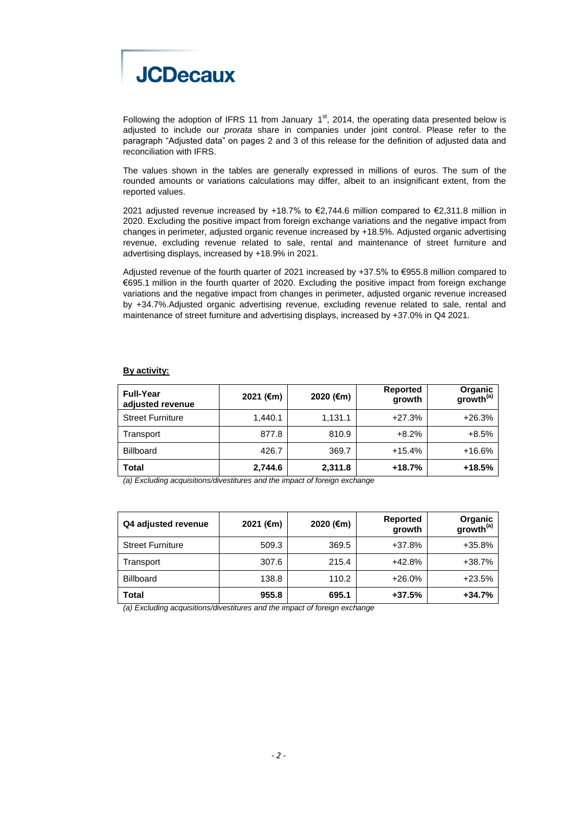

Following the adoption of IFRS 11 from January  $1<sup>st</sup>$ , 2014, the operating data presented below is adjusted to include our *prorata* share in companies under joint control. Please refer to the paragraph "Adjusted data" on pages 2 and 3 of this release for the definition of adjusted data and reconciliation with IFRS.

The values shown in the tables are generally expressed in millions of euros. The sum of the rounded amounts or variations calculations may differ, albeit to an insignificant extent, from the reported values.

2021 adjusted revenue increased by +18.7% to €2,744.6 million compared to €2,311.8 million in 2020. Excluding the positive impact from foreign exchange variations and the negative impact from changes in perimeter, adjusted organic revenue increased by +18.5%. Adjusted organic advertising revenue, excluding revenue related to sale, rental and maintenance of street furniture and advertising displays, increased by +18.9% in 2021.

Adjusted revenue of the fourth quarter of 2021 increased by +37.5% to €955.8 million compared to €695.1 million in the fourth quarter of 2020. Excluding the positive impact from foreign exchange variations and the negative impact from changes in perimeter, adjusted organic revenue increased by +34.7%.Adjusted organic advertising revenue, excluding revenue related to sale, rental and maintenance of street furniture and advertising displays, increased by +37.0% in Q4 2021.

# **By activity:**

| <b>Full-Year</b><br>adjusted revenue | 2021 (€m) | 2020 (€m) | Reported<br>growth | Organic<br>growth <sup>(a)</sup> |
|--------------------------------------|-----------|-----------|--------------------|----------------------------------|
| <b>Street Furniture</b>              | 1.440.1   | 1,131.1   | $+27.3%$           | $+26.3%$                         |
| Transport                            | 877.8     | 810.9     | $+8.2\%$           | $+8.5%$                          |
| <b>Billboard</b>                     | 426.7     | 369.7     | $+15.4%$           | $+16.6%$                         |
| Total                                | 2,744.6   | 2,311.8   | $+18.7%$           | $+18.5%$                         |

*(a) Excluding acquisitions/divestitures and the impact of foreign exchange*

| Q4 adjusted revenue     | 2021 (€m) | 2020 (€m) | <b>Reported</b><br>growth | Organic<br>growth <sup>(a)</sup> |
|-------------------------|-----------|-----------|---------------------------|----------------------------------|
| <b>Street Furniture</b> | 509.3     | 369.5     | +37.8%                    | $+35.8%$                         |
| Transport               | 307.6     | 215.4     | +42.8%                    | $+38.7%$                         |
| <b>Billboard</b>        | 138.8     | 110.2     | $+26.0%$                  | $+23.5%$                         |
| <b>Total</b>            | 955.8     | 695.1     | $+37.5%$                  | $+34.7%$                         |

*(a) Excluding acquisitions/divestitures and the impact of foreign exchange*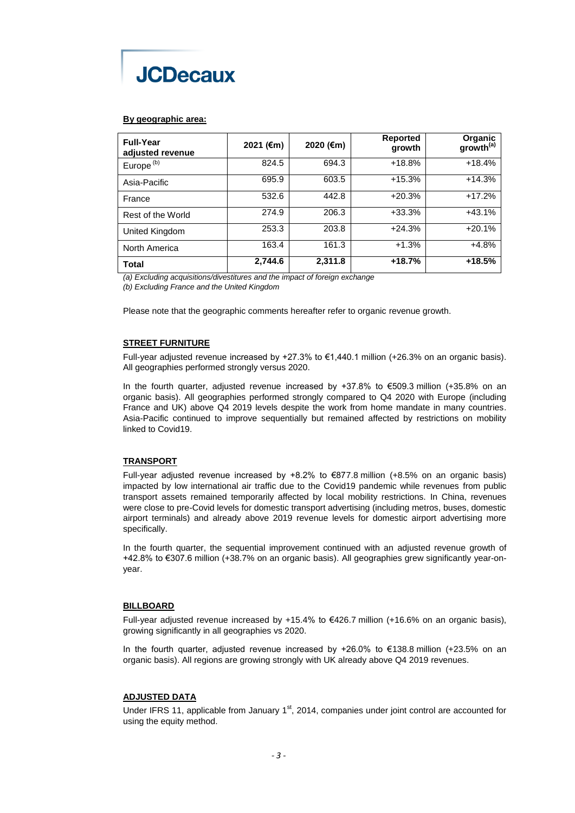

# **By geographic area:**

| <b>Full-Year</b><br>adjusted revenue | 2021 (€m) | 2020 (€m) | <b>Reported</b><br>growth | Organic<br>growth <sup>(a)</sup> |
|--------------------------------------|-----------|-----------|---------------------------|----------------------------------|
| Europe <sup>(b)</sup>                | 824.5     | 694.3     | $+18.8%$                  | $+18.4%$                         |
| Asia-Pacific                         | 695.9     | 603.5     | $+15.3%$                  | $+14.3%$                         |
| France                               | 532.6     | 442.8     | $+20.3%$                  | $+17.2%$                         |
| Rest of the World                    | 274.9     | 206.3     | $+33.3%$                  | $+43.1%$                         |
| United Kingdom                       | 253.3     | 203.8     | $+24.3%$                  | $+20.1%$                         |
| North America                        | 163.4     | 161.3     | $+1.3%$                   | $+4.8%$                          |
| Total                                | 2,744.6   | 2,311.8   | $+18.7%$                  | $+18.5%$                         |

*(a) Excluding acquisitions/divestitures and the impact of foreign exchange*

*(b) Excluding France and the United Kingdom*

Please note that the geographic comments hereafter refer to organic revenue growth.

# **STREET FURNITURE**

Full-year adjusted revenue increased by  $+27.3%$  to €1,440.1 million ( $+26.3%$  on an organic basis). All geographies performed strongly versus 2020.

In the fourth quarter, adjusted revenue increased by +37.8% to €509.3 million (+35.8% on an organic basis). All geographies performed strongly compared to Q4 2020 with Europe (including France and UK) above Q4 2019 levels despite the work from home mandate in many countries. Asia-Pacific continued to improve sequentially but remained affected by restrictions on mobility linked to Covid19.

# **TRANSPORT**

Full-year adjusted revenue increased by  $+8.2\%$  to €877.8 million ( $+8.5\%$  on an organic basis) impacted by low international air traffic due to the Covid19 pandemic while revenues from public transport assets remained temporarily affected by local mobility restrictions. In China, revenues were close to pre-Covid levels for domestic transport advertising (including metros, buses, domestic airport terminals) and already above 2019 revenue levels for domestic airport advertising more specifically.

In the fourth quarter, the sequential improvement continued with an adjusted revenue growth of +42.8% to €307.6 million (+38.7% on an organic basis). All geographies grew significantly year-onyear.

### **BILLBOARD**

Full-year adjusted revenue increased by +15.4% to €426.7 million (+16.6% on an organic basis), growing significantly in all geographies vs 2020.

In the fourth quarter, adjusted revenue increased by +26.0% to €138.8 million (+23.5% on an organic basis). All regions are growing strongly with UK already above Q4 2019 revenues.

### **ADJUSTED DATA**

Under IFRS 11, applicable from January  $1<sup>st</sup>$ , 2014, companies under joint control are accounted for using the equity method.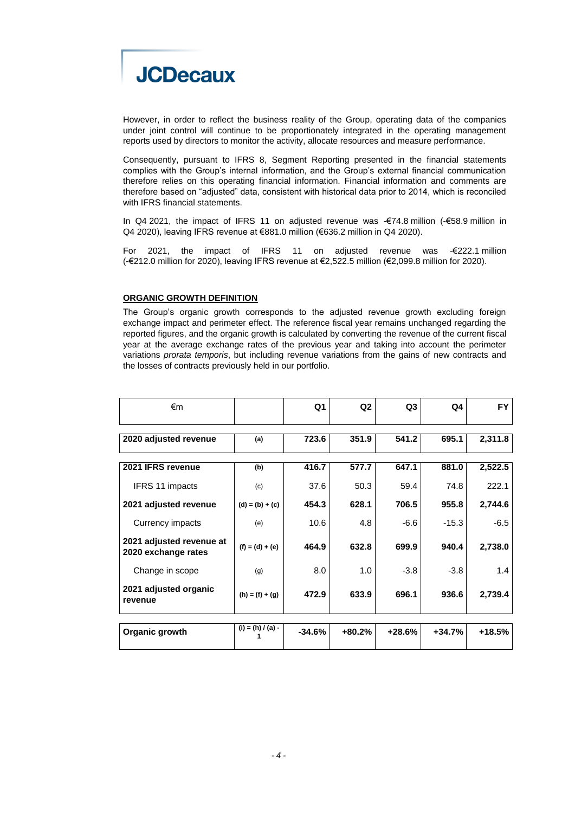

However, in order to reflect the business reality of the Group, operating data of the companies under joint control will continue to be proportionately integrated in the operating management reports used by directors to monitor the activity, allocate resources and measure performance.

Consequently, pursuant to IFRS 8, Segment Reporting presented in the financial statements complies with the Group's internal information, and the Group's external financial communication therefore relies on this operating financial information. Financial information and comments are therefore based on "adjusted" data, consistent with historical data prior to 2014, which is reconciled with IFRS financial statements.

In Q4 2021, the impact of IFRS 11 on adjusted revenue was -€74.8 million (-€58.9 million in Q4 2020), leaving IFRS revenue at €881.0 million (€636.2 million in Q4 2020).

For 2021, the impact of IFRS 11 on adjusted revenue was -€222.1 million (-€212.0 million for 2020), leaving IFRS revenue at €2,522.5 million (€2,099.8 million for 2020).

#### **ORGANIC GROWTH DEFINITION**

The Group's organic growth corresponds to the adjusted revenue growth excluding foreign exchange impact and perimeter effect. The reference fiscal year remains unchanged regarding the reported figures, and the organic growth is calculated by converting the revenue of the current fiscal year at the average exchange rates of the previous year and taking into account the perimeter variations *prorata temporis*, but including revenue variations from the gains of new contracts and the losses of contracts previously held in our portfolio.

| €m                                              |                     | Q <sub>1</sub> | Q <sub>2</sub> | Q <sub>3</sub> | Q4       | <b>FY</b> |
|-------------------------------------------------|---------------------|----------------|----------------|----------------|----------|-----------|
|                                                 |                     |                |                |                |          |           |
| 2020 adjusted revenue                           | (a)                 | 723.6          | 351.9          | 541.2          | 695.1    | 2,311.8   |
|                                                 |                     |                |                |                |          |           |
| 2021 IFRS revenue                               | (b)                 | 416.7          | 577.7          | 647.1          | 881.0    | 2,522.5   |
| IFRS 11 impacts                                 | (c)                 | 37.6           | 50.3           | 59.4           | 74.8     | 222.1     |
| 2021 adjusted revenue                           | $(d) = (b) + (c)$   | 454.3          | 628.1          | 706.5          | 955.8    | 2,744.6   |
| Currency impacts                                | (e)                 | 10.6           | 4.8            | $-6.6$         | $-15.3$  | $-6.5$    |
| 2021 adjusted revenue at<br>2020 exchange rates | $(f) = (d) + (e)$   | 464.9          | 632.8          | 699.9          | 940.4    | 2,738.0   |
| Change in scope                                 | (g)                 | 8.0            | 1.0            | $-3.8$         | $-3.8$   | 1.4       |
| 2021 adjusted organic<br>revenue                | $(h) = (f) + (g)$   | 472.9          | 633.9          | 696.1          | 936.6    | 2,739.4   |
|                                                 |                     |                |                |                |          |           |
| Organic growth                                  | $(i) = (h) / (a) -$ | $-34.6%$       | $+80.2%$       | $+28.6%$       | $+34.7%$ | +18.5%    |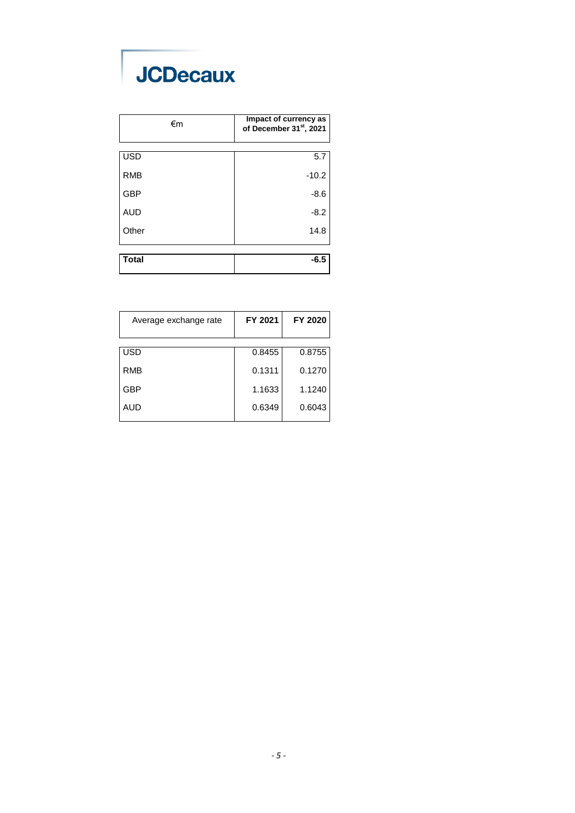# **JCDecaux**

| €m           | Impact of currency as<br>of December 31st, 2021 |
|--------------|-------------------------------------------------|
| <b>USD</b>   | 5.7                                             |
| <b>RMB</b>   | $-10.2$                                         |
| <b>GBP</b>   | $-8.6$                                          |
| <b>AUD</b>   | $-8.2$                                          |
| Other        | 14.8                                            |
|              |                                                 |
| <b>Total</b> | $-6.5$                                          |

| Average exchange rate | FY 2021 | FY 2020 |
|-----------------------|---------|---------|
|                       |         |         |
| <b>USD</b>            | 0.8455  | 0.8755  |
|                       |         |         |
| <b>RMB</b>            | 0.1311  | 0.1270  |
| GBP                   | 1.1633  | 1.1240  |
|                       |         |         |
| AUD                   | 0.6349  | 0.6043  |
|                       |         |         |